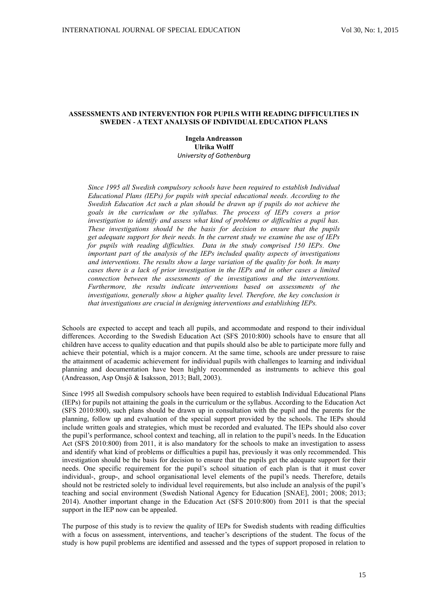# **ASSESSMENTS AND INTERVENTION FOR PUPILS WITH READING DIFFICULTIES IN SWEDEN - A TEXT ANALYSIS OF INDIVIDUAL EDUCATION PLANS**

**Ingela Andreasson Ulrika Wolff** *University of Gothenburg*

*Since 1995 all Swedish compulsory schools have been required to establish Individual Educational Plans (IEPs) for pupils with special educational needs. According to the Swedish Education Act such a plan should be drawn up if pupils do not achieve the goals in the curriculum or the syllabus. The process of IEPs covers a prior investigation to identify and assess what kind of problems or difficulties a pupil has. These investigations should be the basis for decision to ensure that the pupils get adequate support for their needs. In the current study we examine the use of IEPs for pupils with reading difficulties. Data in the study comprised 150 IEPs. One important part of the analysis of the IEPs included quality aspects of investigations and interventions. The results show a large variation of the quality for both. In many cases there is a lack of prior investigation in the IEPs and in other cases a limited connection between the assessments of the investigations and the interventions. Furthermore, the results indicate interventions based on assessments of the investigations, generally show a higher quality level. Therefore, the key conclusion is that investigations are crucial in designing interventions and establishing IEPs.*

Schools are expected to accept and teach all pupils, and accommodate and respond to their individual differences. According to the Swedish Education Act (SFS 2010:800) schools have to ensure that all children have access to quality education and that pupils should also be able to participate more fully and achieve their potential, which is a major concern. At the same time, schools are under pressure to raise the attainment of academic achievement for individual pupils with challenges to learning and individual planning and documentation have been highly recommended as instruments to achieve this goal (Andreasson, Asp Onsjö & Isaksson, 2013; Ball, 2003).

Since 1995 all Swedish compulsory schools have been required to establish Individual Educational Plans (IEPs) for pupils not attaining the goals in the curriculum or the syllabus. According to the Education Act (SFS 2010:800), such plans should be drawn up in consultation with the pupil and the parents for the planning, follow up and evaluation of the special support provided by the schools. The IEPs should include written goals and strategies, which must be recorded and evaluated. The IEPs should also cover the pupil's performance, school context and teaching, all in relation to the pupil's needs. In the Education Act (SFS 2010:800) from 2011, it is also mandatory for the schools to make an investigation to assess and identify what kind of problems or difficulties a pupil has, previously it was only recommended. This investigation should be the basis for decision to ensure that the pupils get the adequate support for their needs. One specific requirement for the pupil's school situation of each plan is that it must cover individual-, group-, and school organisational level elements of the pupil's needs. Therefore, details should not be restricted solely to individual level requirements, but also include an analysis of the pupil's teaching and social environment (Swedish National Agency for Education [SNAE], 2001; 2008; 2013; 2014). Another important change in the Education Act (SFS 2010:800) from 2011 is that the special support in the IEP now can be appealed.

The purpose of this study is to review the quality of IEPs for Swedish students with reading difficulties with a focus on assessment, interventions, and teacher's descriptions of the student. The focus of the study is how pupil problems are identified and assessed and the types of support proposed in relation to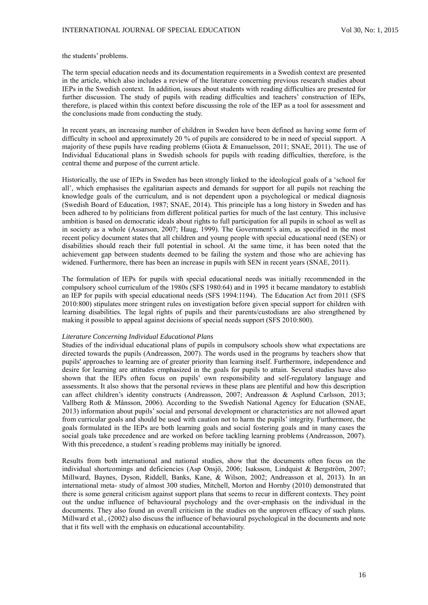the students' problems.

The term special education needs and its documentation requirements in a Swedish context are presented in the article, which also includes a review of the literature concerning previous research studies about IEPs in the Swedish context. In addition, issues about students with reading difficulties are presented for further discussion. The study of pupils with reading difficulties and teachers' construction of IEPs, therefore, is placed within this context before discussing the role of the IEP as a tool for assessment and the conclusions made from conducting the study.

In recent years, an increasing number of children in Sweden have been defined as having some form of difficulty in school and approximately 20 % of pupils are considered to be in need of special support. A majority of these pupils have reading problems (Giota & Emanuelsson, 2011; SNAE, 2011). The use of Individual Educational plans in Swedish schools for pupils with reading difficulties, therefore, is the central theme and purpose of the current article.

Historically, the use of IEPs in Sweden has been strongly linked to the ideological goals of a 'school for all', which emphasises the egalitarian aspects and demands for support for all pupils not reaching the knowledge goals of the curriculum, and is not dependent upon a psychological or medical diagnosis (Swedish Board of Education, 1987; SNAE, 2014). This principle has a long history in Sweden and has been adhered to by politicians from different political parties for much of the last century. This inclusive ambition is based on democratic ideals about rights to full participation for all pupils in school as well as in society as a whole (Assarson, 2007; Haug, 1999). The Government's aim, as specified in the most recent policy document states that all children and young people with special educational need (SEN) or disabilities should reach their full potential in school. At the same time, it has been noted that the achievement gap between students deemed to be failing the system and those who are achieving has widened. Furthermore, there has been an increase in pupils with SEN in recent years (SNAE, 2011).

The formulation of IEPs for pupils with special educational needs was initially recommended in the compulsory school curriculum of the 1980s (SFS 1980:64) and in 1995 it became mandatory to establish an IEP for pupils with special educational needs (SFS 1994:1194). The Education Act from 2011 (SFS 2010:800) stipulates more stringent rules on investigation before given special support for children with learning disabilities. The legal rights of pupils and their parents/custodians are also strengthened by making it possible to appeal against decisions of special needs support (SFS 2010:800).

## *Literature Concerning Individual Educational Plans*

Studies of the individual educational plans of pupils in compulsory schools show what expectations are directed towards the pupils (Andreasson, 2007). The words used in the programs by teachers show that pupils' approaches to learning are of greater priority than learning itself. Furthermore, independence and desire for learning are attitudes emphasized in the goals for pupils to attain. Several studies have also shown that the IEPs often focus on pupils' own responsibility and self-regulatory language and assessments. It also shows that the personal reviews in these plans are plentiful and how this description can affect children's identity constructs (Andreasson, 2007; Andreasson & Asplund Carlsson, 2013; Vallberg Roth & Månsson, 2006). According to the Swedish National Agency for Education (SNAE, 2013) information about pupils' social and personal development or characteristics are not allowed apart from curricular goals and should be used with caution not to harm the pupils' integrity. Furthermore, the goals formulated in the IEPs are both learning goals and social fostering goals and in many cases the social goals take precedence and are worked on before tackling learning problems (Andreasson, 2007). With this precedence, a student´s reading problems may initially be ignored.

Results from both international and national studies, show that the documents often focus on the individual shortcomings and deficiencies (Asp Onsjö, 2006; Isaksson, Lindquist & Bergström, 2007; Millward, Baynes, Dyson, Riddell, Banks, Kane, & Wilson, 2002; Andreasson et al, 2013). In an international meta- study of almost 300 studies, Mitchell, Morton and Hornby (2010) demonstrated that there is some general criticism against support plans that seems to recur in different contexts. They point out the undue influence of behavioural psychology and the over-emphasis on the individual in the documents. They also found an overall criticism in the studies on the unproven efficacy of such plans. Millward et al., (2002) also discuss the influence of behavioural psychological in the documents and note that it fits well with the emphasis on educational accountability.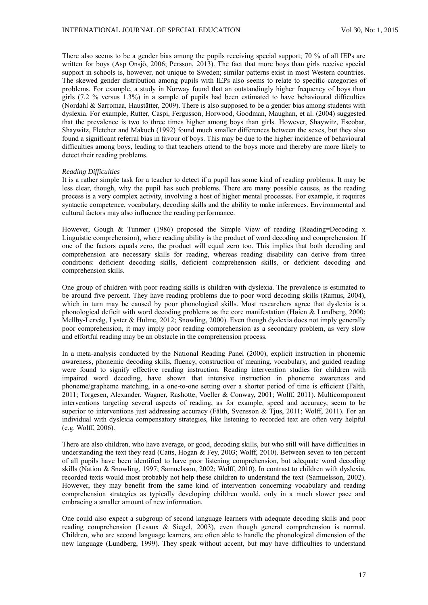There also seems to be a gender bias among the pupils receiving special support; 70 % of all IEPs are written for boys (Asp Onsjö, 2006; Persson, 2013). The fact that more boys than girls receive special support in schools is, however, not unique to Sweden; similar patterns exist in most Western countries. The skewed gender distribution among pupils with IEPs also seems to relate to specific categories of problems. For example, a study in Norway found that an outstandingly higher frequency of boys than girls  $(7.2 \%$  versus 1.3%) in a sample of pupils had been estimated to have behavioural difficulties (Nordahl & Sarromaa, Haustätter, 2009). There is also supposed to be a gender bias among students with dyslexia. For example, Rutter, Caspi, Fergusson, Horwood, Goodman, Maughan, et al. (2004) suggested that the prevalence is two to three times higher among boys than girls. However, Shaywitz, Escobar, Shaywitz, Fletcher and Makuch (1992) found much smaller differences between the sexes, but they also found a significant referral bias in favour of boys. This may be due to the higher incidence of behavioural difficulties among boys, leading to that teachers attend to the boys more and thereby are more likely to detect their reading problems.

### *Reading Difficulties*

It is a rather simple task for a teacher to detect if a pupil has some kind of reading problems. It may be less clear, though, why the pupil has such problems. There are many possible causes, as the reading process is a very complex activity, involving a host of higher mental processes. For example, it requires syntactic competence, vocabulary, decoding skills and the ability to make inferences. Environmental and cultural factors may also influence the reading performance.

However, Gough & Tunmer (1986) proposed the Simple View of reading (Reading=Decoding x Linguistic comprehension), where reading ability is the product of word decoding and comprehension. If one of the factors equals zero, the product will equal zero too. This implies that both decoding and comprehension are necessary skills for reading, whereas reading disability can derive from three conditions: deficient decoding skills, deficient comprehension skills, or deficient decoding and comprehension skills.

One group of children with poor reading skills is children with dyslexia. The prevalence is estimated to be around five percent. They have reading problems due to poor word decoding skills (Ramus, 2004), which in turn may be caused by poor phonological skills. Most researchers agree that dyslexia is a phonological deficit with word decoding problems as the core manifestation (Høien & Lundberg, 2000; Mellby-Lervåg, Lyster & Hulme, 2012; Snowling, 2000). Even though dyslexia does not imply generally poor comprehension, it may imply poor reading comprehension as a secondary problem, as very slow and effortful reading may be an obstacle in the comprehension process.

In a meta-analysis conducted by the National Reading Panel (2000), explicit instruction in phonemic awareness, phonemic decoding skills, fluency, construction of meaning, vocabulary, and guided reading were found to signify effective reading instruction. Reading intervention studies for children with impaired word decoding, have shown that intensive instruction in phoneme awareness and phoneme/grapheme matching, in a one-to-one setting over a shorter period of time is efficient (Fälth, 2011; Torgesen, Alexander, Wagner, Rashotte, Voeller & Conway, 2001; Wolff, 2011). Multicomponent interventions targeting several aspects of reading, as for example, speed and accuracy, seem to be superior to interventions just addressing accuracy (Fälth, Svensson & Tjus, 2011; Wolff, 2011). For an individual with dyslexia compensatory strategies, like listening to recorded text are often very helpful (e.g. Wolff, 2006).

There are also children, who have average, or good, decoding skills, but who still will have difficulties in understanding the text they read (Catts, Hogan & Fey, 2003; Wolff, 2010). Between seven to ten percent of all pupils have been identified to have poor listening comprehension, but adequate word decoding skills (Nation & Snowling, 1997; Samuelsson, 2002; Wolff, 2010). In contrast to children with dyslexia, recorded texts would most probably not help these children to understand the text (Samuelsson, 2002). However, they may benefit from the same kind of intervention concerning vocabulary and reading comprehension strategies as typically developing children would, only in a much slower pace and embracing a smaller amount of new information.

One could also expect a subgroup of second language learners with adequate decoding skills and poor reading comprehension (Lesaux & Siegel, 2003), even though general comprehension is normal. Children, who are second language learners, are often able to handle the phonological dimension of the new language (Lundberg, 1999). They speak without accent, but may have difficulties to understand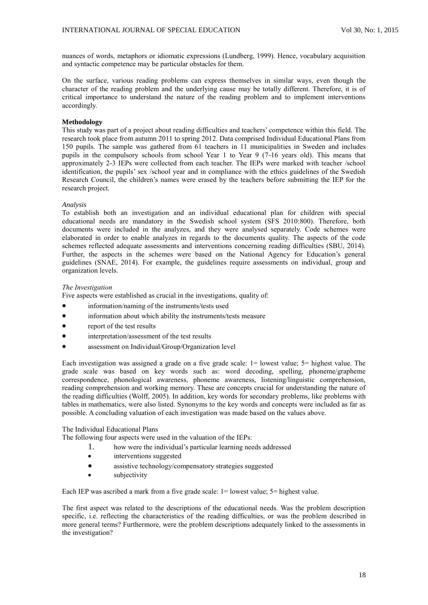nuances of words, metaphors or idiomatic expressions (Lundberg, 1999). Hence, vocabulary acquisition and syntactic competence may be particular obstacles for them.

On the surface, various reading problems can express themselves in similar ways, even though the character of the reading problem and the underlying cause may be totally different. Therefore, it is of critical importance to understand the nature of the reading problem and to implement interventions accordingly.

## **Methodology**

This study was part of a project about reading difficulties and teachers' competence within this field. The research took place from autumn 2011 to spring 2012. Data comprised Individual Educational Plans from 150 pupils. The sample was gathered from 61 teachers in 11 municipalities in Sweden and includes pupils in the compulsory schools from school Year 1 to Year 9 (7-16 years old). This means that approximately 2-3 IEPs were collected from each teacher. The IEPs were marked with teacher /school identification, the pupils' sex /school year and in compliance with the ethics guidelines of the Swedish Research Council, the children's names were erased by the teachers before submitting the IEP for the research project.

### *Analysis*

To establish both an investigation and an individual educational plan for children with special educational needs are mandatory in the Swedish school system (SFS 2010:800). Therefore, both documents were included in the analyzes, and they were analysed separately. Code schemes were elaborated in order to enable analyzes in regards to the documents quality. The aspects of the code schemes reflected adequate assessments and interventions concerning reading difficulties (SBU, 2014). Further, the aspects in the schemes were based on the National Agency for Education's general guidelines (SNAE, 2014). For example, the guidelines require assessments on individual, group and organization levels.

## *The Investigation*

Five aspects were established as crucial in the investigations, quality of:

- information/naming of the instruments/tests used
- information about which ability the instruments/tests measure
- report of the test results
- interpretation/assessment of the test results
- assessment on Individual/Group/Organization level

Each investigation was assigned a grade on a five grade scale: 1= lowest value; 5= highest value. The grade scale was based on key words such as: word decoding, spelling, phoneme/grapheme correspondence, phonological awareness, phoneme awareness, listening/linguistic comprehension, reading comprehension and working memory. These are concepts crucial for understanding the nature of the reading difficulties (Wolff, 2005). In addition, key words for secondary problems, like problems with tables in mathematics, were also listed. Synonyms to the key words and concepts were included as far as possible. A concluding valuation of each investigation was made based on the values above.

### The Individual Educational Plans

The following four aspects were used in the valuation of the IEPs:

- 1. how were the individual's particular learning needs addressed
- interventions suggested
- assistive technology/compensatory strategies suggested
- subjectivity

Each IEP was ascribed a mark from a five grade scale: 1= lowest value; 5= highest value.

The first aspect was related to the descriptions of the educational needs. Was the problem description specific, i.e. reflecting the characteristics of the reading difficulties, or was the problem described in more general terms? Furthermore, were the problem descriptions adequately linked to the assessments in the investigation?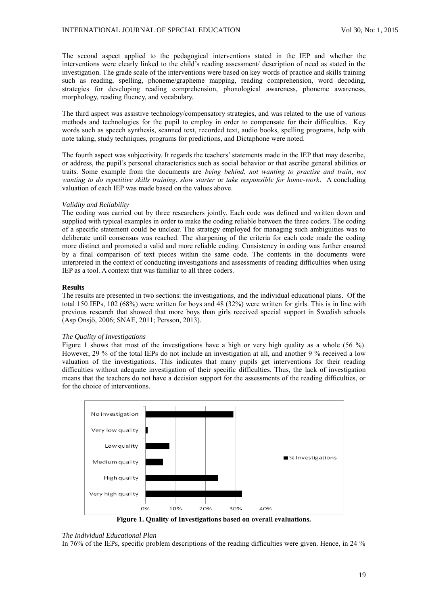The second aspect applied to the pedagogical interventions stated in the IEP and whether the interventions were clearly linked to the child's reading assessment/ description of need as stated in the investigation. The grade scale of the interventions were based on key words of practice and skills training such as reading, spelling, phoneme/grapheme mapping, reading comprehension, word decoding, strategies for developing reading comprehension, phonological awareness, phoneme awareness, morphology, reading fluency, and vocabulary.

The third aspect was assistive technology/compensatory strategies, and was related to the use of various methods and technologies for the pupil to employ in order to compensate for their difficulties. Key words such as speech synthesis, scanned text, recorded text, audio books, spelling programs, help with note taking, study techniques, programs for predictions, and Dictaphone were noted.

The fourth aspect was subjectivity. It regards the teachers' statements made in the IEP that may describe, or address, the pupil's personal characteristics such as social behavior or that ascribe general abilities or traits. Some example from the documents are *being behind*, *not wanting to practise and train*, *not wanting to do repetitive skills training*, *slow starter* or *take responsible for home-work*. A concluding valuation of each IEP was made based on the values above.

## *Validity and Reliability*

The coding was carried out by three researchers jointly. Each code was defined and written down and supplied with typical examples in order to make the coding reliable between the three coders. The coding of a specific statement could be unclear. The strategy employed for managing such ambiguities was to deliberate until consensus was reached. The sharpening of the criteria for each code made the coding more distinct and promoted a valid and more reliable coding. Consistency in coding was further ensured by a final comparison of text pieces within the same code. The contents in the documents were interpreted in the context of conducting investigations and assessments of reading difficulties when using IEP as a tool. A context that was familiar to all three coders.

#### **Results**

The results are presented in two sections: the investigations, and the individual educational plans. Of the total 150 IEPs, 102 (68%) were written for boys and 48 (32%) were written for girls. This is in line with previous research that showed that more boys than girls received special support in Swedish schools (Asp Onsjö, 2006; SNAE, 2011; Persson, 2013).

## *The Quality of Investigations*

Figure 1 shows that most of the investigations have a high or very high quality as a whole (56 %). However, 29 % of the total IEPs do not include an investigation at all, and another 9 % received a low valuation of the investigations. This indicates that many pupils get interventions for their reading difficulties without adequate investigation of their specific difficulties. Thus, the lack of investigation means that the teachers do not have a decision support for the assessments of the reading difficulties, or for the choice of interventions.



**Figure 1. Quality of Investigations based on overall evaluations.**

## *The Individual Educational Plan*

In 76% of the IEPs, specific problem descriptions of the reading difficulties were given. Hence, in 24 %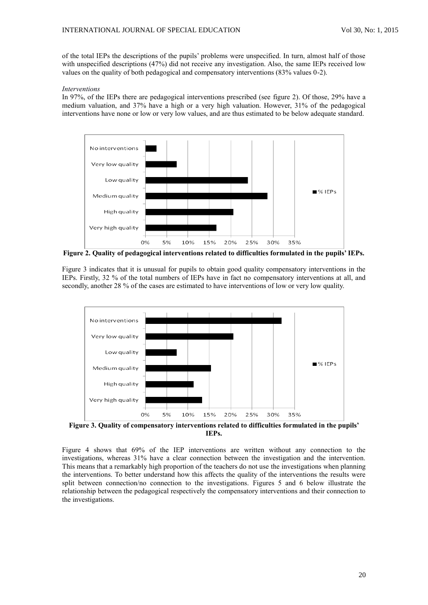of the total IEPs the descriptions of the pupils' problems were unspecified. In turn, almost half of those with unspecified descriptions (47%) did not receive any investigation. Also, the same IEPs received low values on the quality of both pedagogical and compensatory interventions (83% values 0-2).

### *Interventions*

In 97%, of the IEPs there are pedagogical interventions prescribed (see figure 2). Of those, 29% have a medium valuation, and 37% have a high or a very high valuation. However, 31% of the pedagogical interventions have none or low or very low values, and are thus estimated to be below adequate standard.



**Figure 2. Quality of pedagogical interventions related to difficulties formulated in the pupils' IEPs.**

Figure 3 indicates that it is unusual for pupils to obtain good quality compensatory interventions in the IEPs. Firstly, 32 % of the total numbers of IEPs have in fact no compensatory interventions at all, and secondly, another 28 % of the cases are estimated to have interventions of low or very low quality.



**Figure 3. Quality of compensatory interventions related to difficulties formulated in the pupils' IEPs.**

Figure 4 shows that 69% of the IEP interventions are written without any connection to the investigations, whereas 31% have a clear connection between the investigation and the intervention. This means that a remarkably high proportion of the teachers do not use the investigations when planning the interventions. To better understand how this affects the quality of the interventions the results were split between connection/no connection to the investigations. Figures 5 and 6 below illustrate the relationship between the pedagogical respectively the compensatory interventions and their connection to the investigations.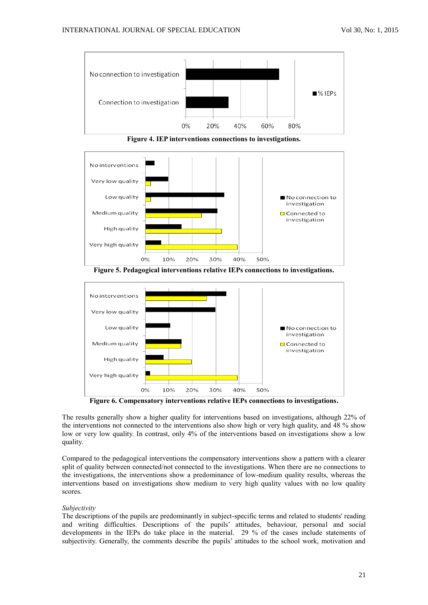

**Figure 4. IEP interventions connections to investigations.**



**Figure 5. Pedagogical interventions relative IEPs connections to investigations.**



**Figure 6. Compensatory interventions relative IEPs connections to investigations.**

The results generally show a higher quality for interventions based on investigations, although 22% of the interventions not connected to the interventions also show high or very high quality, and 48 % show low or very low quality. In contrast, only 4% of the interventions based on investigations show a low quality.

Compared to the pedagogical interventions the compensatory interventions show a pattern with a clearer split of quality between connected/not connected to the investigations. When there are no connections to the investigations, the interventions show a predominance of low-medium quality results, whereas the interventions based on investigations show medium to very high quality values with no low quality scores.

### *Subjectivity*

The descriptions of the pupils are predominantly in subject-specific terms and related to students' reading and writing difficulties. Descriptions of the pupils' attitudes, behaviour, personal and social developments in the IEPs do take place in the material. 29 % of the cases include statements of subjectivity. Generally, the comments describe the pupils' attitudes to the school work, motivation and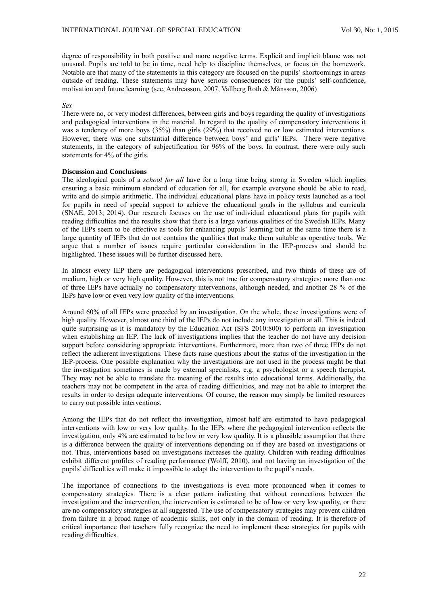degree of responsibility in both positive and more negative terms. Explicit and implicit blame was not unusual. Pupils are told to be in time, need help to discipline themselves, or focus on the homework. Notable are that many of the statements in this category are focused on the pupils' shortcomings in areas outside of reading. These statements may have serious consequences for the pupils' self-confidence, motivation and future learning (see, Andreasson, 2007, Vallberg Roth & Månsson, 2006)

## *Sex*

There were no, or very modest differences, between girls and boys regarding the quality of investigations and pedagogical interventions in the material. In regard to the quality of compensatory interventions it was a tendency of more boys (35%) than girls (29%) that received no or low estimated interventions. However, there was one substantial difference between boys' and girls' IEPs. There were negative statements, in the category of subjectification for 96% of the boys. In contrast, there were only such statements for 4% of the girls.

### **Discussion and Conclusions**

The ideological goals of a *school for all* have for a long time being strong in Sweden which implies ensuring a basic minimum standard of education for all, for example everyone should be able to read, write and do simple arithmetic. The individual educational plans have in policy texts launched as a tool for pupils in need of special support to achieve the educational goals in the syllabus and curricula (SNAE, 2013; 2014). Our research focuses on the use of individual educational plans for pupils with reading difficulties and the results show that there is a large various qualities of the Swedish IEPs. Many of the IEPs seem to be effective as tools for enhancing pupils' learning but at the same time there is a large quantity of IEPs that do not contains the qualities that make them suitable as operative tools. We argue that a number of issues require particular consideration in the IEP-process and should be highlighted. These issues will be further discussed here.

In almost every IEP there are pedagogical interventions prescribed, and two thirds of these are of medium, high or very high quality. However, this is not true for compensatory strategies; more than one of three IEPs have actually no compensatory interventions, although needed, and another 28 % of the IEPs have low or even very low quality of the interventions.

Around 60% of all IEPs were preceded by an investigation. On the whole, these investigations were of high quality. However, almost one third of the IEPs do not include any investigation at all. This is indeed quite surprising as it is mandatory by the Education Act (SFS  $2010:800$ ) to perform an investigation when establishing an IEP. The lack of investigations implies that the teacher do not have any decision support before considering appropriate interventions. Furthermore, more than two of three IEPs do not reflect the adherent investigations. These facts raise questions about the status of the investigation in the IEP-process. One possible explanation why the investigations are not used in the process might be that the investigation sometimes is made by external specialists, e.g. a psychologist or a speech therapist. They may not be able to translate the meaning of the results into educational terms. Additionally, the teachers may not be competent in the area of reading difficulties, and may not be able to interpret the results in order to design adequate interventions. Of course, the reason may simply be limited resources to carry out possible interventions.

Among the IEPs that do not reflect the investigation, almost half are estimated to have pedagogical interventions with low or very low quality. In the IEPs where the pedagogical intervention reflects the investigation, only 4% are estimated to be low or very low quality. It is a plausible assumption that there is a difference between the quality of interventions depending on if they are based on investigations or not. Thus, interventions based on investigations increases the quality. Children with reading difficulties exhibit different profiles of reading performance (Wolff, 2010), and not having an investigation of the pupils' difficulties will make it impossible to adapt the intervention to the pupil's needs.

The importance of connections to the investigations is even more pronounced when it comes to compensatory strategies. There is a clear pattern indicating that without connections between the investigation and the intervention, the intervention is estimated to be of low or very low quality, or there are no compensatory strategies at all suggested. The use of compensatory strategies may prevent children from failure in a broad range of academic skills, not only in the domain of reading. It is therefore of critical importance that teachers fully recognize the need to implement these strategies for pupils with reading difficulties.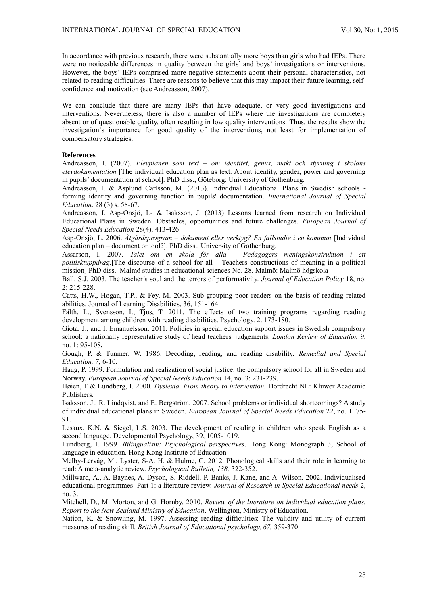In accordance with previous research, there were substantially more boys than girls who had IEPs. There were no noticeable differences in quality between the girls' and boys' investigations or interventions. However, the boys' IEPs comprised more negative statements about their personal characteristics, not related to reading difficulties. There are reasons to believe that this may impact their future learning, selfconfidence and motivation (see Andreasson, 2007).

We can conclude that there are many IEPs that have adequate, or very good investigations and interventions. Nevertheless, there is also a number of IEPs where the investigations are completely absent or of questionable quality, often resulting in low quality interventions. Thus, the results show the investigation's importance for good quality of the interventions, not least for implementation of compensatory strategies.

### **References**

Andreasson, I. (2007). *Elevplanen som text – om identitet, genus, makt och styrning i skolans elevdokumentation* [The individual education plan as text. About identity, gender, power and governing in pupils' documentation at school]. PhD diss., Göteborg: University of Gothenburg.

Andreasson, I. & Asplund Carlsson, M. (2013). Individual Educational Plans in Swedish schools forming identity and governing function in pupils' documentation. *International Journal of Special Education*. 28 (3) s. 58-67.

Andreasson, I. Asp-Onsjö, L- & Isaksson, J. (2013) Lessons learned from research on Individual Educational Plans in Sweden: Obstacles, opportunities and future challenges*. European Journal of Special Needs Education* 28(4), 413-426

Asp-Onsjö, L. 2006. *Åtgärdsprogram – dokument eller verktyg? En fallstudie i en kommun* [Individual education plan – document or tool?]. PhD diss., University of Gothenburg.

Assarson, I. 2007. *Talet om en skola för alla – Pedagogers meningskonstruktion i ett politisktuppdrag*.[The discourse of a school for all – Teachers constructions of meaning in a political mission] PhD diss,. Malmö studies in educational sciences No. 28. Malmö: Malmö högskola

Ball, S.J. 2003. The teacher's soul and the terrors of performativity. *Journal of Education Policy* 18, no. 2: 215-228.

Catts, H.W., Hogan, T.P., & Fey, M. 2003. Sub-grouping poor readers on the basis of reading related abilities. Journal of Learning Disabilities, 36, 151-164.

Fälth, L., Svensson, I., Tjus, T. 2011. The effects of two training programs regarding reading development among children with reading disabilities. Psychology. 2. 173-180.

Giota, J., and I. Emanuelsson. 2011. Policies in special education support issues in Swedish compulsory school: a nationally representative study of head teachers' judgements. *London Review of Education* 9, no. 1: 95-108**.**

Gough, P. & Tunmer, W. 1986. Decoding, reading, and reading disability. *Remedial and Special Education, 7,* 6-10.

Haug, P. 1999. Formulation and realization of social justice: the compulsory school for all in Sweden and Norway. *European Journal of Special Needs Education* 14, no. 3: 231-239.

Høien, T & Lundberg, I. 2000. *Dyslexia. From theory to intervention.* Dordrecht NL: Kluwer Academic Publishers.

Isaksson, J., R. Lindqvist, and E. Bergström. 2007. School problems or individual shortcomings? A study of individual educational plans in Sweden. *European Journal of Special Needs Education* 22, no. 1: 75- 91.

Lesaux, K.N. & Siegel, L.S. 2003. The development of reading in children who speak English as a second language. Developmental Psychology, 39, 1005-1019.

Lundberg, I. 1999. *Bilingualism: Psychological perspectives*. Hong Kong: Monograph 3, School of language in education. Hong Kong Institute of Education

Melby-Lervåg, M., Lyster, S-A. H. & Hulme, C. 2012. Phonological skills and their role in learning to read: A meta-analytic review. *Psychological Bulletin, 138,* 322-352.

Millward, A., A. Baynes, A. Dyson, S. Riddell, P. Banks, J. Kane, and A. Wilson. 2002. Individualised educational programmes: Part 1: a literature review. *Journal of Research in Special Educational needs* 2, no. 3.

Mitchell, D., M. Morton, and G. Hornby. 2010. *Review of the literature on individual education plans. Report to the New Zealand Ministry of Education*. Wellington, Ministry of Education.

Nation, K. & Snowling, M. 1997. Assessing reading difficulties: The validity and utility of current measures of reading skill. *British Journal of Educational psychology, 67,* 359-370.